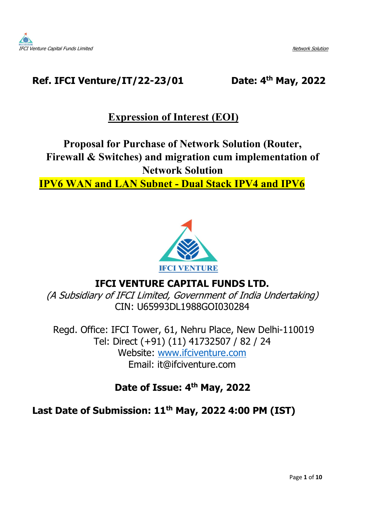

## Ref. IFCI Venture/IT/22-23/01 Date: 4th May, 2022

# Expression of Interest (EOI)

# Proposal for Purchase of Network Solution (Router, Firewall & Switches) and migration cum implementation of Network Solution

# IPV6 WAN and LAN Subnet - Dual Stack IPV4 and IPV6



# IFCI VENTURE CAPITAL FUNDS LTD.

(A Subsidiary of IFCI Limited, Government of India Undertaking) CIN: U65993DL1988GOI030284

 Regd. Office: IFCI Tower, 61, Nehru Place, New Delhi-110019 Tel: Direct (+91) (11) 41732507 / 82 / 24 Website: www.ifciventure.com Email: it@ifciventure.com

# Date of Issue: 4<sup>th</sup> May, 2022

## Last Date of Submission: 11<sup>th</sup> May, 2022 4:00 PM (IST)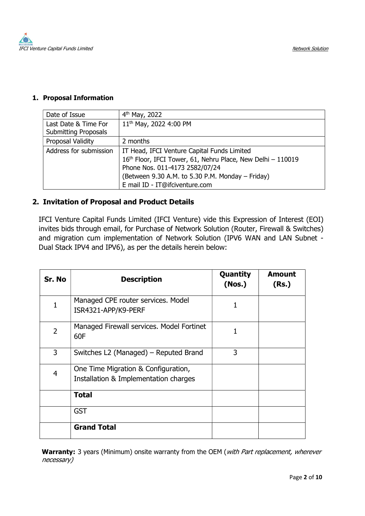

#### 1. Proposal Information

| Date of Issue                                       | $4th$ May, 2022                                                                                                                                                                                                                    |
|-----------------------------------------------------|------------------------------------------------------------------------------------------------------------------------------------------------------------------------------------------------------------------------------------|
| Last Date & Time For<br><b>Submitting Proposals</b> | 11 <sup>th</sup> May, 2022 4:00 PM                                                                                                                                                                                                 |
| Proposal Validity                                   | 2 months                                                                                                                                                                                                                           |
| Address for submission                              | IT Head, IFCI Venture Capital Funds Limited<br>16th Floor, IFCI Tower, 61, Nehru Place, New Delhi - 110019<br>Phone Nos. 011-4173 2582/07/24<br>(Between 9.30 A.M. to 5.30 P.M. Monday - Friday)<br>E mail ID - IT@ifciventure.com |

## 2. Invitation of Proposal and Product Details

IFCI Venture Capital Funds Limited (IFCI Venture) vide this Expression of Interest (EOI) invites bids through email, for Purchase of Network Solution (Router, Firewall & Switches) and migration cum implementation of Network Solution (IPV6 WAN and LAN Subnet - Dual Stack IPV4 and IPV6), as per the details herein below:

| Sr. No         | <b>Description</b>                                                           | Quantity<br>(Nos.) | <b>Amount</b><br>(Rs.) |
|----------------|------------------------------------------------------------------------------|--------------------|------------------------|
| 1              | Managed CPE router services. Model<br>ISR4321-APP/K9-PERF                    | 1                  |                        |
| $\overline{2}$ | Managed Firewall services. Model Fortinet<br>60F                             | 1                  |                        |
| 3              | Switches L2 (Managed) – Reputed Brand                                        | 3                  |                        |
| 4              | One Time Migration & Configuration,<br>Installation & Implementation charges |                    |                        |
|                | <b>Total</b>                                                                 |                    |                        |
|                | <b>GST</b>                                                                   |                    |                        |
|                | <b>Grand Total</b>                                                           |                    |                        |

Warranty: 3 years (Minimum) onsite warranty from the OEM (with Part replacement, wherever necessary)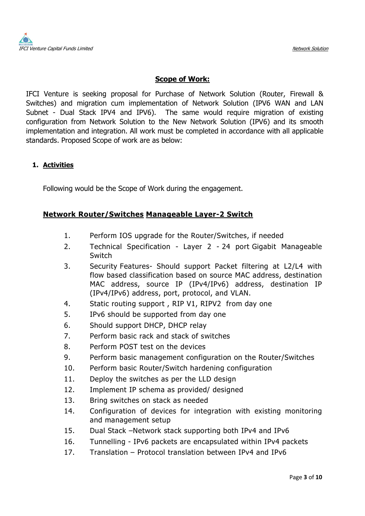

## Scope of Work:

IFCI Venture is seeking proposal for Purchase of Network Solution (Router, Firewall & Switches) and migration cum implementation of Network Solution (IPV6 WAN and LAN Subnet - Dual Stack IPV4 and IPV6). The same would require migration of existing configuration from Network Solution to the New Network Solution (IPV6) and its smooth implementation and integration. All work must be completed in accordance with all applicable standards. Proposed Scope of work are as below:

## 1. Activities

Following would be the Scope of Work during the engagement.

## Network Router/Switches Manageable Layer-2 Switch

- 1. Perform IOS upgrade for the Router/Switches, if needed
- 2. Technical Specification Layer 2 24 port Gigabit Manageable Switch
- 3. Security Features- Should support Packet filtering at L2/L4 with flow based classification based on source MAC address, destination MAC address, source IP (IPv4/IPv6) address, destination IP (IPv4/IPv6) address, port, protocol, and VLAN.
- 4. Static routing support , RIP V1, RIPV2 from day one
- 5. IPv6 should be supported from day one
- 6. Should support DHCP, DHCP relay
- 7. Perform basic rack and stack of switches
- 8. Perform POST test on the devices
- 9. Perform basic management configuration on the Router/Switches
- 10. Perform basic Router/Switch hardening configuration
- 11. Deploy the switches as per the LLD design
- 12. Implement IP schema as provided/ designed
- 13. Bring switches on stack as needed
- 14. Configuration of devices for integration with existing monitoring and management setup
- 15. Dual Stack –Network stack supporting both IPv4 and IPv6
- 16. Tunnelling IPv6 packets are encapsulated within IPv4 packets
- 17. Translation Protocol translation between IPv4 and IPv6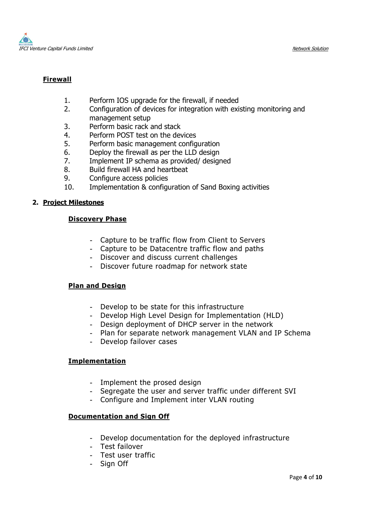

## Firewall

- 1. Perform IOS upgrade for the firewall, if needed
- 2. Configuration of devices for integration with existing monitoring and management setup
- 3. Perform basic rack and stack
- 4. Perform POST test on the devices
- 5. Perform basic management configuration
- 6. Deploy the firewall as per the LLD design
- 7. Implement IP schema as provided/ designed
- 8. Build firewall HA and heartbeat
- 9. Configure access policies
- 10. Implementation & configuration of Sand Boxing activities

#### 2. Project Milestones

#### Discovery Phase

- Capture to be traffic flow from Client to Servers
- Capture to be Datacentre traffic flow and paths
- Discover and discuss current challenges
- Discover future roadmap for network state

### Plan and Design

- Develop to be state for this infrastructure
- Develop High Level Design for Implementation (HLD)
- Design deployment of DHCP server in the network
- Plan for separate network management VLAN and IP Schema
- Develop failover cases

### Implementation

- Implement the prosed design
- Segregate the user and server traffic under different SVI
- Configure and Implement inter VLAN routing

#### Documentation and Sign Off

- Develop documentation for the deployed infrastructure
- Test failover
- Test user traffic
- Sign Off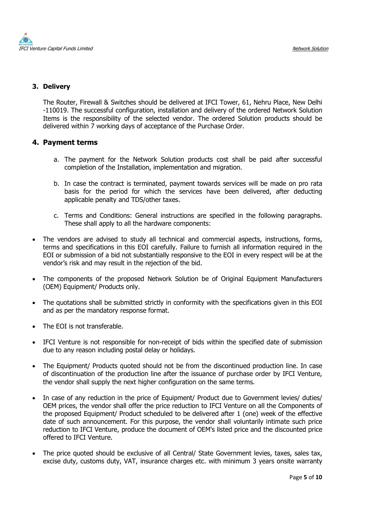

#### 3. Delivery

The Router, Firewall & Switches should be delivered at IFCI Tower, 61, Nehru Place, New Delhi -110019. The successful configuration, installation and delivery of the ordered Network Solution Items is the responsibility of the selected vendor. The ordered Solution products should be delivered within 7 working days of acceptance of the Purchase Order.

- 4. Payment terms<br>a. The payment for the Network Solution products cost shall be paid after successful completion of the Installation, implementation and migration.
	- b. In case the contract is terminated, payment towards services will be made on pro rata basis for the period for which the services have been delivered, after deducting applicable penalty and TDS/other taxes.
	- c. Terms and Conditions: General instructions are specified in the following paragraphs. These shall apply to all the hardware components:
- The vendors are advised to study all technical and commercial aspects, instructions, forms, terms and specifications in this EOI carefully. Failure to furnish all information required in the EOI or submission of a bid not substantially responsive to the EOI in every respect will be at the vendor's risk and may result in the rejection of the bid.
- The components of the proposed Network Solution be of Original Equipment Manufacturers (OEM) Equipment/ Products only.
- The quotations shall be submitted strictly in conformity with the specifications given in this EOI and as per the mandatory response format.
- The EOI is not transferable.
- IFCI Venture is not responsible for non-receipt of bids within the specified date of submission due to any reason including postal delay or holidays.
- The Equipment/ Products quoted should not be from the discontinued production line. In case of discontinuation of the production line after the issuance of purchase order by IFCI Venture, the vendor shall supply the next higher configuration on the same terms.
- In case of any reduction in the price of Equipment/ Product due to Government levies/ duties/ OEM prices, the vendor shall offer the price reduction to IFCI Venture on all the Components of the proposed Equipment/ Product scheduled to be delivered after 1 (one) week of the effective date of such announcement. For this purpose, the vendor shall voluntarily intimate such price reduction to IFCI Venture, produce the document of OEM's listed price and the discounted price offered to IFCI Venture.
- The price quoted should be exclusive of all Central/ State Government levies, taxes, sales tax, excise duty, customs duty, VAT, insurance charges etc. with minimum 3 years onsite warranty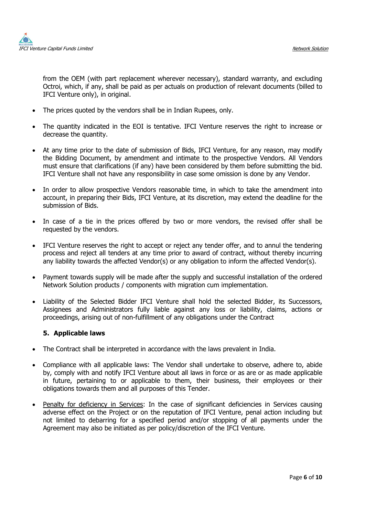

from the OEM (with part replacement wherever necessary), standard warranty, and excluding Octroi, which, if any, shall be paid as per actuals on production of relevant documents (billed to IFCI Venture only), in original.

- The prices quoted by the vendors shall be in Indian Rupees, only.
- The quantity indicated in the EOI is tentative. IFCI Venture reserves the right to increase or decrease the quantity.
- At any time prior to the date of submission of Bids, IFCI Venture, for any reason, may modify the Bidding Document, by amendment and intimate to the prospective Vendors. All Vendors must ensure that clarifications (if any) have been considered by them before submitting the bid. IFCI Venture shall not have any responsibility in case some omission is done by any Vendor.
- In order to allow prospective Vendors reasonable time, in which to take the amendment into account, in preparing their Bids, IFCI Venture, at its discretion, may extend the deadline for the submission of Bids.
- In case of a tie in the prices offered by two or more vendors, the revised offer shall be requested by the vendors.
- IFCI Venture reserves the right to accept or reject any tender offer, and to annul the tendering process and reject all tenders at any time prior to award of contract, without thereby incurring any liability towards the affected Vendor(s) or any obligation to inform the affected Vendor(s).
- Payment towards supply will be made after the supply and successful installation of the ordered Network Solution products / components with migration cum implementation.
- Liability of the Selected Bidder IFCI Venture shall hold the selected Bidder, its Successors, Assignees and Administrators fully liable against any loss or liability, claims, actions or proceedings, arising out of non-fulfillment of any obligations under the Contract

#### 5. Applicable laws

- The Contract shall be interpreted in accordance with the laws prevalent in India.
- Compliance with all applicable laws: The Vendor shall undertake to observe, adhere to, abide by, comply with and notify IFCI Venture about all laws in force or as are or as made applicable in future, pertaining to or applicable to them, their business, their employees or their obligations towards them and all purposes of this Tender.
- Penalty for deficiency in Services: In the case of significant deficiencies in Services causing adverse effect on the Project or on the reputation of IFCI Venture, penal action including but not limited to debarring for a specified period and/or stopping of all payments under the Agreement may also be initiated as per policy/discretion of the IFCI Venture.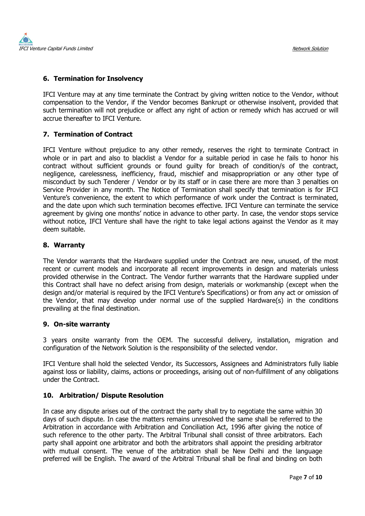

### 6. Termination for Insolvency

IFCI Venture may at any time terminate the Contract by giving written notice to the Vendor, without compensation to the Vendor, if the Vendor becomes Bankrupt or otherwise insolvent, provided that such termination will not prejudice or affect any right of action or remedy which has accrued or will accrue thereafter to IFCI Venture.

#### 7. Termination of Contract

IFCI Venture without prejudice to any other remedy, reserves the right to terminate Contract in whole or in part and also to blacklist a Vendor for a suitable period in case he fails to honor his contract without sufficient grounds or found guilty for breach of condition/s of the contract, negligence, carelessness, inefficiency, fraud, mischief and misappropriation or any other type of misconduct by such Tenderer / Vendor or by its staff or in case there are more than 3 penalties on Service Provider in any month. The Notice of Termination shall specify that termination is for IFCI Venture's convenience, the extent to which performance of work under the Contract is terminated, and the date upon which such termination becomes effective. IFCI Venture can terminate the service agreement by giving one months' notice in advance to other party. In case, the vendor stops service without notice, IFCI Venture shall have the right to take legal actions against the Vendor as it may deem suitable.

8. Warranty<br>The Vendor warrants that the Hardware supplied under the Contract are new, unused, of the most recent or current models and incorporate all recent improvements in design and materials unless provided otherwise in the Contract. The Vendor further warrants that the Hardware supplied under this Contract shall have no defect arising from design, materials or workmanship (except when the design and/or material is required by the IFCI Venture's Specifications) or from any act or omission of the Vendor, that may develop under normal use of the supplied Hardware(s) in the conditions prevailing at the final destination.

#### 9. On-site warranty

3 years onsite warranty from the OEM. The successful delivery, installation, migration and configuration of the Network Solution is the responsibility of the selected vendor.

IFCI Venture shall hold the selected Vendor, its Successors, Assignees and Administrators fully liable against loss or liability, claims, actions or proceedings, arising out of non-fulfillment of any obligations under the Contract.

10. Arbitration/ Dispute Resolution<br>In case any dispute arises out of the contract the party shall try to negotiate the same within 30 days of such dispute. In case the matters remains unresolved the same shall be referred to the Arbitration in accordance with Arbitration and Conciliation Act, 1996 after giving the notice of such reference to the other party. The Arbitral Tribunal shall consist of three arbitrators. Each party shall appoint one arbitrator and both the arbitrators shall appoint the presiding arbitrator with mutual consent. The venue of the arbitration shall be New Delhi and the language preferred will be English. The award of the Arbitral Tribunal shall be final and binding on both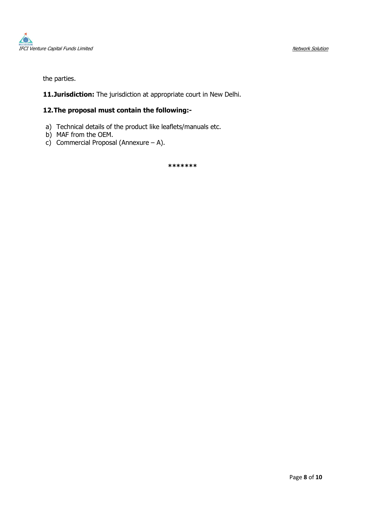

the parties.

11.Jurisdiction: The jurisdiction at appropriate court in New Delhi.

#### 12.The proposal must contain the following:-

- a) Technical details of the product like leaflets/manuals etc.
- b) MAF from the OEM.
- c) Commercial Proposal (Annexure A).

\*\*\*\*\*\*\*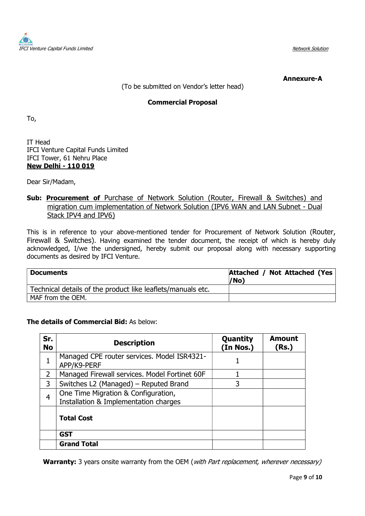

#### Annexure-A

(To be submitted on Vendor's letter head)

### Commercial Proposal

To,

IT Head IFCI Venture Capital Funds Limited IFCI Tower, 61 Nehru Place New Delhi - 110 019

Dear Sir/Madam,

### Sub: Procurement of Purchase of Network Solution (Router, Firewall & Switches) and migration cum implementation of Network Solution (IPV6 WAN and LAN Subnet - Dual Stack IPV4 and IPV6)

This is in reference to your above-mentioned tender for Procurement of Network Solution (Router, Firewall & Switches). Having examined the tender document, the receipt of which is hereby duly acknowledged, I/we the undersigned, hereby submit our proposal along with necessary supporting documents as desired by IFCI Venture.

| <b>Documents</b>                                            | Attached / Not Attached (Yes)<br>/No) |
|-------------------------------------------------------------|---------------------------------------|
| Technical details of the product like leaflets/manuals etc. |                                       |
| MAF from the OEM.                                           |                                       |

### The details of Commercial Bid: As below:

| Sr.<br><b>No</b> | <b>Description</b>                                                           | Quantity<br>(In Nos.) | <b>Amount</b><br>(Rs.) |
|------------------|------------------------------------------------------------------------------|-----------------------|------------------------|
|                  | Managed CPE router services. Model ISR4321-<br>APP/K9-PERF                   |                       |                        |
| $\overline{2}$   | Managed Firewall services. Model Fortinet 60F                                |                       |                        |
| 3                | Switches L2 (Managed) – Reputed Brand                                        | 3                     |                        |
| 4                | One Time Migration & Configuration,<br>Installation & Implementation charges |                       |                        |
|                  | <b>Total Cost</b>                                                            |                       |                        |
|                  | <b>GST</b>                                                                   |                       |                        |
|                  | <b>Grand Total</b>                                                           |                       |                        |

Warranty: 3 years onsite warranty from the OEM (with Part replacement, wherever necessary)